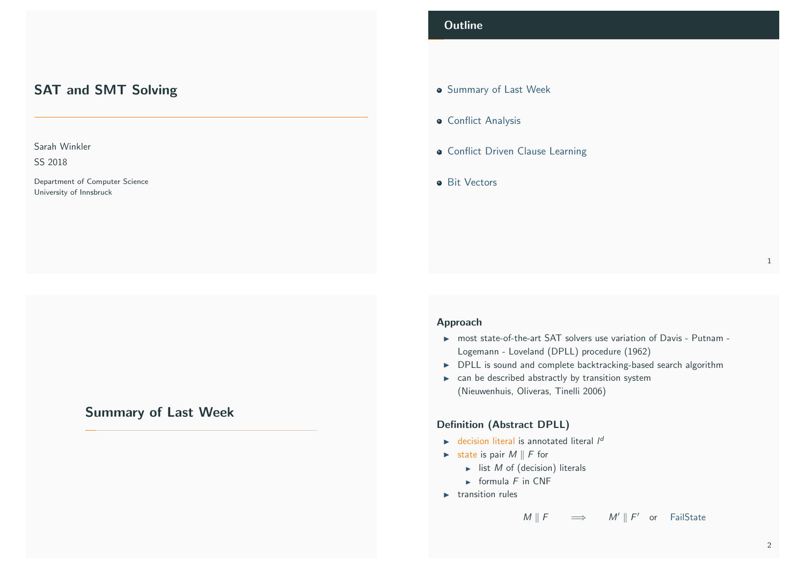# <span id="page-0-1"></span>SAT and SMT Solving

### Sarah Winkler

SS 2018

Department of Computer Science University of Innsbruck

# <span id="page-0-0"></span>[S](#page-1-0)[ummary of Last W](#page-0-0)eek

## **Outline**

- **Summary of Last Week**
- **Conflict Analysis**
- **Conflict Driven Clause Learning**
- **a** Bit Vectors

### Approach

- $\triangleright$  most state-of-the-art SAT solvers use variation of Davis Putnam -Logemann - Loveland (DPLL) procedure (1962)
- $\triangleright$  DPLL is sound and complete backtracking-based search algorithm
- $\blacktriangleright$  can be described abstractly by transition system (Nieuwenhuis, Oliveras, Tinelli 2006)

#### Definition (Abstract DPLL)

- $\triangleright$  decision literal is annotated literal  $I^d$
- $\triangleright$  state is pair  $M \parallel F$  for
	- $\blacktriangleright$  list *M* of (decision) literals
	- $\triangleright$  formula F in CNF
- $\blacktriangleright$  transition rules

 $M \parallel F \qquad \Longrightarrow \qquad M' \parallel F' \quad \text{or} \quad \text{FailState}$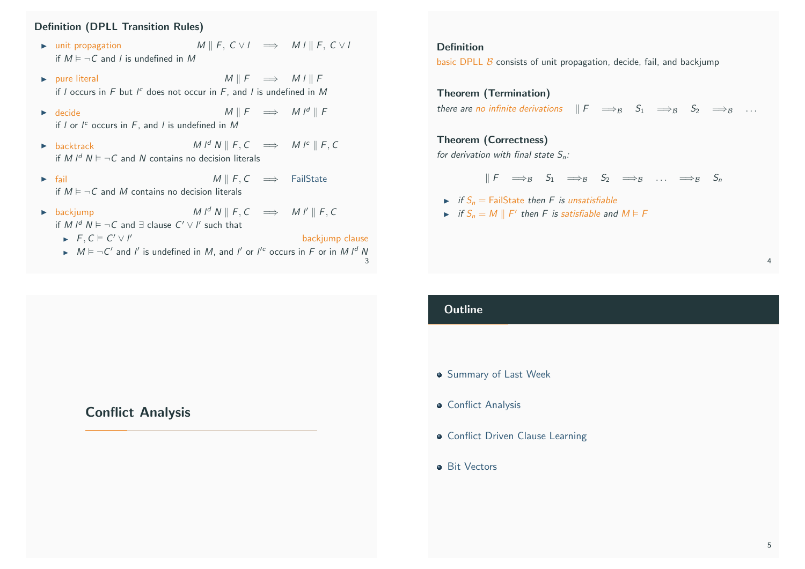### Definition (DPLL Transition Rules)

- $\triangleright$  unit propagation  $M \parallel F$ ,  $C \lor I \implies M I \parallel F$ ,  $C \lor I$ if  $M \models \neg C$  and l is undefined in M
- $\triangleright$  pure literal  $M \parallel F \implies M \parallel F$ if  $l$  occurs in  $F$  but  $l^c$  does not occur in  $F$ , and  $l$  is undefined in  $M$
- $\triangleright$  decide M || F  $\implies$  M || F if  $l$  or  $l^c$  occurs in  $F$ , and  $l$  is undefined in  $M$
- ► backtrack  $M \parallel f, C \implies M \parallel F, C$ if M  $I^d$  N  $\models \neg C$  and N contains no decision literals
- $\triangleright$  fail M || F, C  $\implies$  FailState if  $M \models \neg C$  and M contains no decision literals
- <span id="page-1-0"></span> $\triangleright$  backjump  $M \downarrow^d N \parallel F, C \implies M \downarrow^d \parallel F, C$ if M  $I^d$   $N \vDash \neg C$  and  $\exists$  clause  $C' \vee I'$  such that
	- $\blacktriangleright$   $F, C \models C' \vee C$ backjump clause
	- $\triangleright$   $M \models \neg C'$  and l' is undefined in M, and l' or l'<sup>c</sup> occurs in F or in M l<sup>d</sup> N 3

# [Conflict Ana](#page-1-0)lysis

### Definition

basic DPLL  $\beta$  consists of unit propagation, decide, fail, and backjump

Theorem (Termination) there are no infinite derivations  $\Vert F \Vert \Longrightarrow_B S_1 \Longrightarrow_B S_2 \Longrightarrow_B \ldots$ 

### Theorem (Correctness)

for derivation with final state  $S_n$ :

$$
\parallel F\quad \Longrightarrow_{\mathcal{B}}\quad \ S_1\quad \Longrightarrow_{\mathcal{B}}\quad \ S_2\quad \Longrightarrow_{\mathcal{B}}\quad \ \ldots\quad \Longrightarrow_{\mathcal{B}}\quad \ S_n
$$

- $\triangleright$  if  $S_n =$  FailState then F is unsatisfiable
- If  $S_n = M \parallel F'$  then F is satisfiable and  $M \vDash F$

### **Outline**

- **•** Summary of Last Week
- **Conflict Analysis**
- **Conflict Driven Clause Learning**
- **Bit Vectors**

4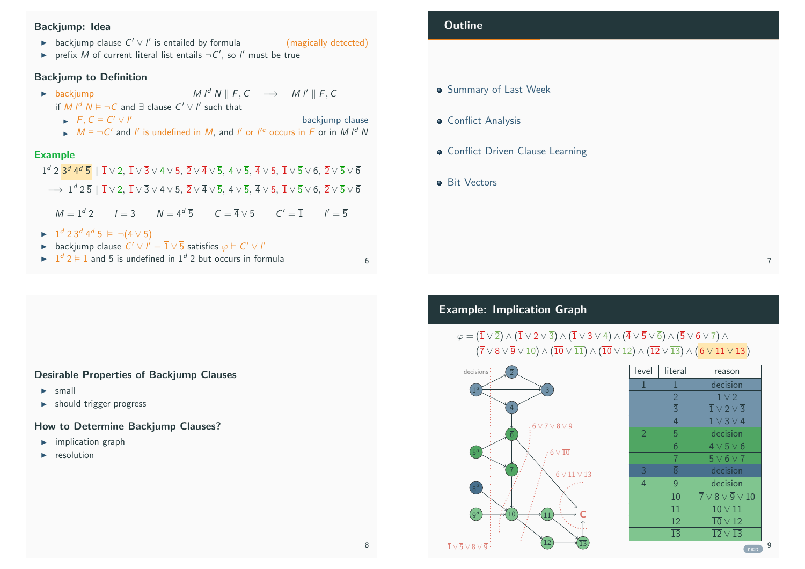### Backjump: Idea

- **►** backjump clause  $C' \vee I'$  is entailed by formula (magically detected)
- riangleright prefix  $M$  of current literal list entails  $\neg C'$ , so  $I'$  must be true

### Backjump to Definition

 $\triangleright$  backjump  $M \downharpoonright^d N \parallel F, C \implies M \upharpoonright^d \parallel F, C$ 

backjump clause

if M  $I^d$   $N \vDash \neg C$  and  $\exists$  clause  $C' \vee I'$  such that

- $\blacktriangleright$   $F, C \models C' \vee I$
- $\triangleright$   $M \models \neg C'$  and l' is undefined in M, and l' or l'<sup>c</sup> occurs in F or in M l<sup>d</sup> N

### Example

 $1^d$  2  $3^d$  4 $^d$   $\overline{5}$   $\parallel$   $\overline{1}$   $\vee$  2,  $\overline{1}$   $\vee$   $\overline{3}$   $\vee$  4  $\vee$  5,  $\overline{2}$   $\vee$   $\overline{4}$   $\vee$   $\overline{5}$ ,  $\overline{4}$   $\vee$   $\overline{5}$ ,  $\overline{4}$   $\vee$   $\overline{5}$   $\vee$   $\overline{6}$   $\overline{4}$   $\vee$   $\overline{5}$   $\implies 1^d\, 2\, \overline{5}\parallel \overline{1}\vee 2,\, \overline{1}\vee \overline{3}\vee 4\vee 5,\, \overline{2}\vee \overline{4}\vee \overline{5},\, 4\vee \overline{5},\, \overline{4}\vee 5,\, \overline{1}\vee \overline{5}\vee 6,\, \overline{2}\vee \overline{5}\vee \overline{6}$  $M = 1^d 2$   $I = 3$   $N = 4^d \overline{5}$   $C = \overline{4} \vee 5$   $C' = \overline{1}$   $I' = \overline{5}$  $\blacktriangleright \quad 1^d \; 2 \; 3^d \; 4^d \; \overline{5} \; \vDash \; \neg(\overline{4} \vee 5)$ **►** backjump clause  $C' \vee l' = \overline{1} \vee \overline{5}$  satisfies  $\varphi \models C' \vee l'$  $\triangleright$   $1^d$  2  $\triangleright$  1 and 5 is undefined in 1<sup>d</sup> 2 but occurs in formula 6

### Desirable Properties of Backjump Clauses

- $\blacktriangleright$  [small](#page-0-0)
- $\blacktriangleright$  should trigger progress

### [How to Dete](#page-1-0)rmine Backjump Clauses?

- $\blacktriangleright$  [implication graph](#page-4-0)
- resolution

### **Outline**

- **Summary of Last Week**
- **Conflict Analysis**
- **Conflict Driven Clause Learning**
- **Bit Vectors**

# Example: Implication Graph

# $\varphi = (\overline{1} \vee \overline{2}) \wedge (\overline{1} \vee 2 \vee \overline{3}) \wedge (\overline{1} \vee 3 \vee 4) \wedge (\overline{4} \vee \overline{5} \vee \overline{6}) \wedge (\overline{5} \vee 6 \vee 7) \wedge$  $({\overline{7}} \vee 8 \vee {\overline{9}} \vee 10) \wedge ({\overline{10}} \vee {\overline{11}}) \wedge ({\overline{10}} \vee 12) \wedge ({\overline{12}} \vee {\overline{13}}) \wedge (6 \vee 11 \vee 13)$



| literal         | reason                                             |
|-----------------|----------------------------------------------------|
| 1               | decision                                           |
| $\overline{2}$  | $\overline{1} \vee \overline{2}$                   |
|                 | $\overline{1} \vee 2 \vee \overline{3}$            |
| $\overline{4}$  | $\overline{1} \vee 3 \vee 4$                       |
| 5               | decision                                           |
| $\overline{6}$  | $\overline{4} \vee \overline{5} \vee \overline{6}$ |
| $\overline{7}$  | $\overline{5} \vee 6 \vee 7$                       |
| $\overline{8}$  | decision                                           |
| $\mathsf{Q}$    | decision                                           |
| 10              | $\overline{7} \vee 8 \vee \overline{9} \vee 10$    |
| 11              | $\overline{10} \vee \overline{11}$                 |
| 12              | $\overline{10} \vee 12$                            |
| $\overline{13}$ | $\overline{12} \vee \overline{13}$                 |
|                 | $\overline{\overline{3}}$                          |

8

7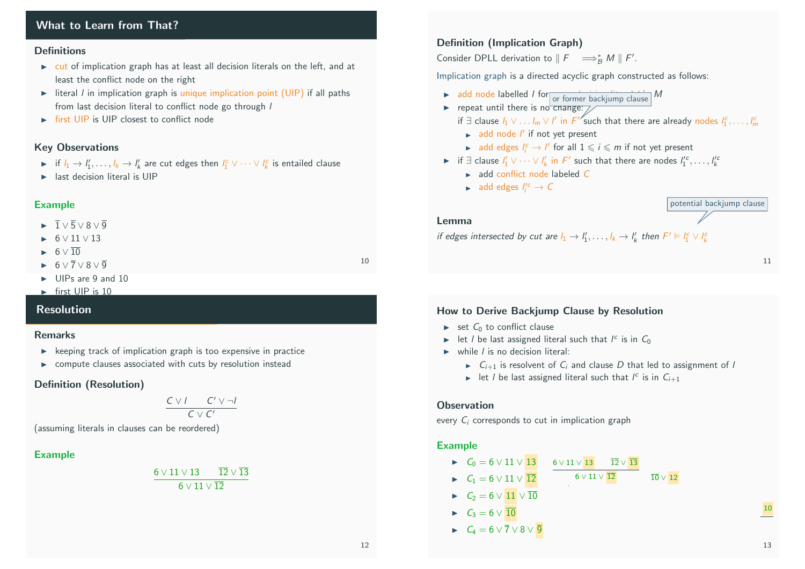### What to Learn from That?

#### **Definitions**

- $\triangleright$  cut of implication graph has at least all decision literals on the left, and at least the conflict node on the right
- Iteral *I* in implication graph is unique implication point (UIP) if all paths from last decision literal to conflict node go through /
- $\triangleright$  first UIP is UIP closest to conflict node

### Key Observations

- ► if  $l_1 \to l'_1, \ldots, l_k \to l'_k$  are cut edges then  $l_1^c \vee \cdots \vee l_k^c$  is entailed clause
- $\blacktriangleright$  last decision literal is UIP

### Example

- $\blacktriangleright$   $\overline{1} \vee \overline{5} \vee 8 \vee \overline{9}$
- $\blacktriangleright$  6  $\vee$  11  $\vee$  13
- $\blacktriangleright$  6  $\vee$  10
- $\rightarrow 6 \vee \overline{7} \vee 8 \vee \overline{9}$
- $\triangleright$  UIPs are 9 and 10
- $\blacktriangleright$  first UIP is 10

### Resolution

#### Remarks

- $\triangleright$  keeping track of implication graph is too expensive in practice
- $\triangleright$  compute clauses associated with cuts by resolution instead

### Definition (Resolution)

$$
\frac{C \vee I \qquad C' \vee \neg I}{C \vee C'}
$$

(assuming literals in clauses can be reordered)

### Example

$$
\frac{6\vee 11\vee 13 \qquad \overline{12}\vee \overline{13}}{6\vee 11\vee \overline{12}}
$$

### Definition (Implication Graph)

Consider DPLL derivation to  $\parallel F \quad \Longrightarrow_{\mathcal{B}}^* M \parallel F'.$ 

Implication graph is a directed acyclic graph constructed as follows:

- $\triangleright$  add node labelled / for  $\frac{1}{\vert \text{or former backjump clause}}$  M
- repeat until there is no change:  $\frac{1}{\sqrt{2}}$ 
	- if ∃ clause  $l_1 \vee \ldots l_m \vee l'$  in  $F''$ such that there are already nodes  $l_1^c, \ldots, l_m^c$ 
		- $\blacktriangleright$  add node  $I'$  if not yet present
	- **ightar and edges**  $I_i^c \rightarrow I'$  for all  $1 \leq i \leq m$  if not yet present
- **►** if  $\exists$  clause  $l'_1 \vee \cdots \vee l'_k$  in  $F'$  such that there are nodes  $l''_1$ <sup>c</sup>,...,  $l''_k$ 
	- $\blacktriangleright$  add conflict node labeled  $C$
	- add edges  $I_i'^c \rightarrow C$

#### potential backjump clause

#### Lemma

if edges intersected by cut are  $l_1 \to l'_1, \ldots, l_k \to l'_k$  then  $F' \vDash l_1^c \vee l'_k$ 

#### 11

### How to Derive Backjump Clause by Resolution

- $\triangleright$  set  $C_0$  to conflict clause
- In let *l* be last assigned literal such that  $I^c$  is in  $C_0$
- $\triangleright$  while *l* is no decision literal:
	- $\triangleright$   $C_{i+1}$  is resolvent of  $C_i$  and clause D that led to assignment of l
	- In let *l* be last assigned literal such that  $I^c$  is in  $C_{i+1}$

#### **Observation**

every  $C_i$  corresponds to cut in implication graph

#### Example

 $C_0 = 6 \vee 11 \vee 13$  $\blacktriangleright$   $C_1 = 6 \vee 11 \vee \overline{12}$  $\blacktriangleright$   $C_2 = 6 \vee 11 \vee \overline{10}$  $C_3 = 6 \vee \overline{10}$  $\blacktriangleright$   $C_4 = 6 \vee \overline{7} \vee 8 \vee \overline{9}$  $6 \vee 11 \vee 13$   $\overline{12} \vee \overline{13}$  $6 \vee 11 \vee \overline{12}$   $\overline{10} \vee 12$  $\overline{10}$  10  $\overline{10}$  8 √ 9  $\overline{10}$ 

10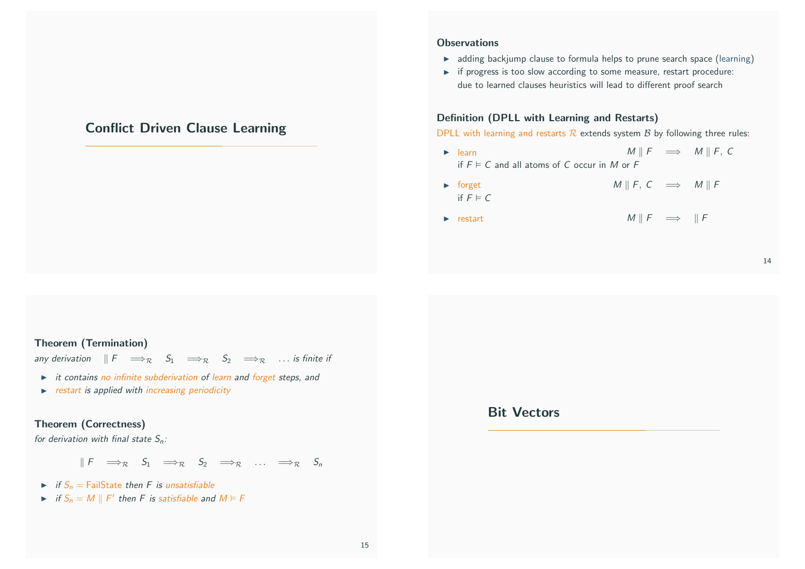# Conflict Driven Clause Learning

#### **Observations**

- $\rightarrow$  adding backjump clause to formula helps to prune search space (learning)
- $\rightarrow$  if progress is too slow according to some measure, restart procedure: due to learned clauses heuristics will lead to different proof search

### Definition (DPLL with Learning and Restarts)

DPLL with learning and restarts  $R$  extends system  $B$  by following three rules:

- $\triangleright$  learn M || F  $\implies$  M || F, C if  $F \models C$  and all atoms of C occur in M or F
- $\triangleright$  forget M || F, C  $\implies$  M || F if  $F \models C$
- $\triangleright$  restart M || F  $\implies$  || F

#### <span id="page-4-0"></span>Theorem (Termination)

any derivation  $\Vert F \Vert \Longrightarrow_R S_1 \Longrightarrow_R S_2 \Longrightarrow_R$  ... is finite if

- $\rightarrow$  it contains no infinite subderivation of learn and forget steps, and
- $\triangleright$  restart is applied with increasing periodicity

### The[orem \(Correctness\)](#page-4-0)

for derivation with final state  $S_n$ :

 $\parallel F \implies_R S_1 \implies_R S_2 \implies_R \ldots \implies_R S_n$ 

- $\triangleright$  if  $S_n =$  FailState then F is unsatisfiable
- if  $S_n = M \parallel F'$  then F is satisfiable and  $M \vDash F$

Bit Vectors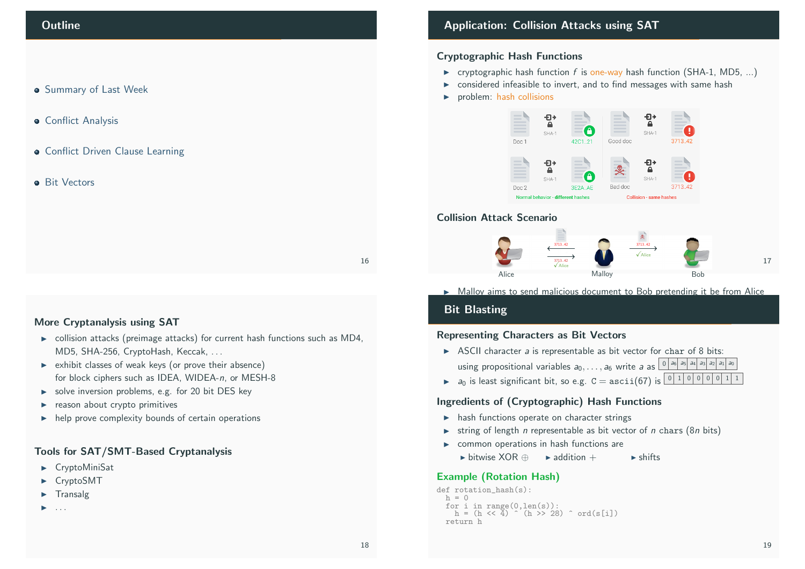#### **• Summary of Last Week**

- **Conflict Analysis**
- **Conflict Driven Clause Learning**

#### **a** Bit Vectors

16

### More Cryptanalysis using SAT

- $\triangleright$  collision attacks (preimage attacks) for current hash functions such as MD4, MD5, SHA-256, CryptoHash, Keccak, . . .
- $\triangleright$  exhibit classes of weak keys (or prove their absence) for block ciphers such as IDEA, WIDEA-n, or MESH-8
- $\triangleright$  [solve inversion pr](#page-0-0)oblems, e.g. for 20 bit DES key
- $\blacktriangleright$  reason about crypto primitives
- $\blacktriangleright$  [help prov](#page-1-0)e complexity bounds of certain operations

### [Tools for SAT/SMT-Base](#page-4-0)d Cryptanalysis

- $\blacktriangleright$  CryptoMiniSat
- **[CryptoSM](#page-0-1)T**
- **[Trans](#page-0-1)alg**
- I [. . .](#page-0-1)

## Application: Collision Attacks using SAT

#### Cryptographic Hash Functions

- Foryptographic hash function f is one-way hash function (SHA-1, MD5, ...)
- $\triangleright$  considered infeasible to invert, and to find messages with same hash
- $\triangleright$  problem: hash collisions



#### Collision Attack Scenario



 $\triangleright$  Malloy aims to send malicious document to Bob pretending it be from Alice

# **Bit Blasting**

### Representing Characters as Bit Vectors  $E_{\rm p}$  commission and  $E_{\rm p}$  and  $E_{\rm r}$  and  $E_{\rm r}$  and  $E_{\rm r}$  and  $E_{\rm r}$

- $\triangleright$  ASCII character a is representable as bit vector for char of 8 bits: using propositional variables  $a_0, \ldots, a_6$  write a as  $\frac{|0|}{a_6}$  as  $a_4$  as  $a_3$   $a_1$   $a_2$   $a_1$   $a_0$
- $\triangleright$  a<sub>0</sub> is least significant bit, so e.g.  $C = \text{asci}(67)$  is  $\boxed{0 \mid 1 \mid 0 \mid 0 \mid 0 \mid 1 \mid 1}$

### Ingredients of (Cryptographic) Hash Functions

- $\blacktriangleright$  hash functions operate on character strings
- $\triangleright$  string of length *n* representable as bit vector of *n* chars (8*n* bits)
- $\triangleright$  common operations in hash functions are
	- ► bitwise XOR ⊕ A addition + I shifts

#### Example (Rotation Hash)

```
def rotation_hash(s):
 h = 0for i in range(0,len(s)):
    h = (h \ll 4) (h \gg 28) \sim ord(s[i])
  return h
```